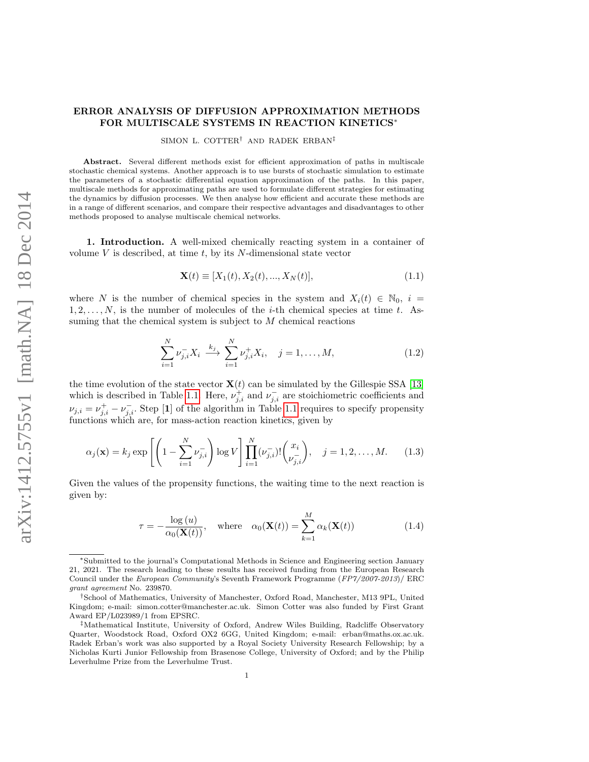## ERROR ANALYSIS OF DIFFUSION APPROXIMATION METHODS FOR MULTISCALE SYSTEMS IN REACTION KINETICS<sup>∗</sup>

SIMON L. COTTER<sup>†</sup> AND RADEK ERBAN<sup>‡</sup>

Abstract. Several different methods exist for efficient approximation of paths in multiscale stochastic chemical systems. Another approach is to use bursts of stochastic simulation to estimate the parameters of a stochastic differential equation approximation of the paths. In this paper, multiscale methods for approximating paths are used to formulate different strategies for estimating the dynamics by diffusion processes. We then analyse how efficient and accurate these methods are in a range of different scenarios, and compare their respective advantages and disadvantages to other methods proposed to analyse multiscale chemical networks.

1. Introduction. A well-mixed chemically reacting system in a container of volume  $V$  is described, at time  $t$ , by its  $N$ -dimensional state vector

$$
\mathbf{X}(t) \equiv [X_1(t), X_2(t), ..., X_N(t)], \tag{1.1}
$$

where N is the number of chemical species in the system and  $X_i(t) \in \mathbb{N}_0$ ,  $i =$  $1, 2, \ldots, N$ , is the number of molecules of the *i*-th chemical species at time t. Assuming that the chemical system is subject to  $M$  chemical reactions

$$
\sum_{i=1}^{N} \nu_{j,i}^{-} X_i \xrightarrow{k_j} \sum_{i=1}^{N} \nu_{j,i}^{+} X_i, \quad j = 1, ..., M,
$$
\n(1.2)

the time evolution of the state vector  $\mathbf{X}(t)$  can be simulated by the Gillespie SSA [\[13\]](#page-16-0) which is described in Table [1.1.](#page-1-0) Here,  $\nu_{j,i}^+$  and  $\nu_{j,i}^-$  are stoichiometric coefficients and  $\nu_{j,i} = \nu_{j,i}^+ - \nu_{j,i}^-$ . Step [1] of the algorithm in Table [1.1](#page-1-0) requires to specify propensity functions which are, for mass-action reaction kinetics, given by

$$
\alpha_j(\mathbf{x}) = k_j \exp\left[ \left( 1 - \sum_{i=1}^N \nu_{j,i}^- \right) \log V \right] \prod_{i=1}^N (\nu_{j,i}^-)! \binom{x_i}{\nu_{j,i}^-}, \quad j = 1, 2, \dots, M. \tag{1.3}
$$

Given the values of the propensity functions, the waiting time to the next reaction is given by:

<span id="page-0-0"></span>
$$
\tau = -\frac{\log(u)}{\alpha_0(\mathbf{X}(t))}, \quad \text{where} \quad \alpha_0(\mathbf{X}(t)) = \sum_{k=1}^{M} \alpha_k(\mathbf{X}(t)) \tag{1.4}
$$

<sup>∗</sup>Submitted to the journal's Computational Methods in Science and Engineering section January 21, 2021. The research leading to these results has received funding from the European Research Council under the European Community's Seventh Framework Programme (FP7/2007-2013)/ ERC grant agreement No. 239870.

<sup>†</sup>School of Mathematics, University of Manchester, Oxford Road, Manchester, M13 9PL, United Kingdom; e-mail: simon.cotter@manchester.ac.uk. Simon Cotter was also funded by First Grant Award EP/L023989/1 from EPSRC.

<sup>‡</sup>Mathematical Institute, University of Oxford, Andrew Wiles Building, Radcliffe Observatory Quarter, Woodstock Road, Oxford OX2 6GG, United Kingdom; e-mail: erban@maths.ox.ac.uk. Radek Erban's work was also supported by a Royal Society University Research Fellowship; by a Nicholas Kurti Junior Fellowship from Brasenose College, University of Oxford; and by the Philip Leverhulme Prize from the Leverhulme Trust.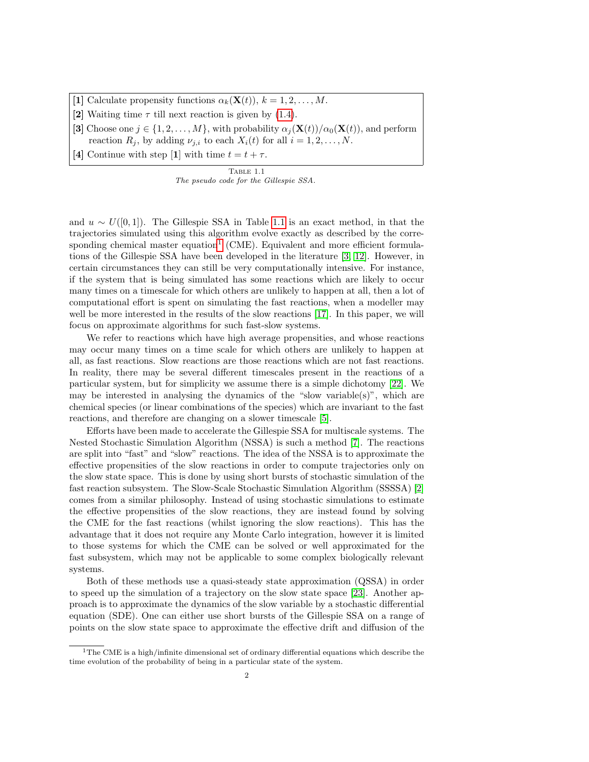- [1] Calculate propensity functions  $\alpha_k(\mathbf{X}(t)), k = 1, 2, ..., M$ .
- [2] Waiting time  $\tau$  till next reaction is given by [\(1.4\)](#page-0-0).
- [3] Choose one  $j \in \{1, 2, ..., M\}$ , with probability  $\alpha_j(\mathbf{X}(t))/\alpha_0(\mathbf{X}(t))$ , and perform reaction  $R_j$ , by adding  $\nu_{j,i}$  to each  $X_i(t)$  for all  $i = 1, 2, ..., N$ .
- [4] Continue with step [1] with time  $t = t + \tau$ .

<span id="page-1-0"></span>Table 1.1 The pseudo code for the Gillespie SSA.

and  $u \sim U([0,1])$ . The Gillespie SSA in Table [1.1](#page-1-0) is an exact method, in that the trajectories simulated using this algorithm evolve exactly as described by the corre-sponding chemical master equation<sup>[1](#page-1-1)</sup> (CME). Equivalent and more efficient formulations of the Gillespie SSA have been developed in the literature [\[3,](#page-15-0) [12\]](#page-16-1). However, in certain circumstances they can still be very computationally intensive. For instance, if the system that is being simulated has some reactions which are likely to occur many times on a timescale for which others are unlikely to happen at all, then a lot of computational effort is spent on simulating the fast reactions, when a modeller may well be more interested in the results of the slow reactions [\[17\]](#page-16-2). In this paper, we will focus on approximate algorithms for such fast-slow systems.

We refer to reactions which have high average propensities, and whose reactions may occur many times on a time scale for which others are unlikely to happen at all, as fast reactions. Slow reactions are those reactions which are not fast reactions. In reality, there may be several different timescales present in the reactions of a particular system, but for simplicity we assume there is a simple dichotomy [\[22\]](#page-16-3). We may be interested in analysing the dynamics of the "slow variable(s)", which are chemical species (or linear combinations of the species) which are invariant to the fast reactions, and therefore are changing on a slower timescale [\[5\]](#page-15-1).

Efforts have been made to accelerate the Gillespie SSA for multiscale systems. The Nested Stochastic Simulation Algorithm (NSSA) is such a method [\[7\]](#page-15-2). The reactions are split into "fast" and "slow" reactions. The idea of the NSSA is to approximate the effective propensities of the slow reactions in order to compute trajectories only on the slow state space. This is done by using short bursts of stochastic simulation of the fast reaction subsystem. The Slow-Scale Stochastic Simulation Algorithm (SSSSA) [\[2\]](#page-15-3) comes from a similar philosophy. Instead of using stochastic simulations to estimate the effective propensities of the slow reactions, they are instead found by solving the CME for the fast reactions (whilst ignoring the slow reactions). This has the advantage that it does not require any Monte Carlo integration, however it is limited to those systems for which the CME can be solved or well approximated for the fast subsystem, which may not be applicable to some complex biologically relevant systems.

Both of these methods use a quasi-steady state approximation (QSSA) in order to speed up the simulation of a trajectory on the slow state space [\[23\]](#page-16-4). Another approach is to approximate the dynamics of the slow variable by a stochastic differential equation (SDE). One can either use short bursts of the Gillespie SSA on a range of points on the slow state space to approximate the effective drift and diffusion of the

<span id="page-1-1"></span><sup>&</sup>lt;sup>1</sup>The CME is a high/infinite dimensional set of ordinary differential equations which describe the time evolution of the probability of being in a particular state of the system.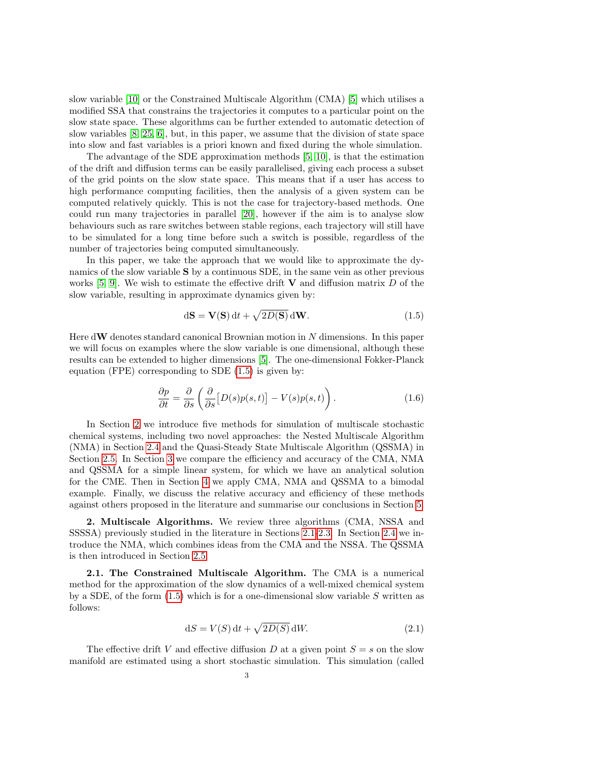slow variable [\[10\]](#page-15-4) or the Constrained Multiscale Algorithm (CMA) [\[5\]](#page-15-1) which utilises a modified SSA that constrains the trajectories it computes to a particular point on the slow state space. These algorithms can be further extended to automatic detection of slow variables [\[8,](#page-15-5) [25,](#page-16-5) [6\]](#page-15-6), but, in this paper, we assume that the division of state space into slow and fast variables is a priori known and fixed during the whole simulation.

The advantage of the SDE approximation methods [\[5,](#page-15-1) [10\]](#page-15-4), is that the estimation of the drift and diffusion terms can be easily parallelised, giving each process a subset of the grid points on the slow state space. This means that if a user has access to high performance computing facilities, then the analysis of a given system can be computed relatively quickly. This is not the case for trajectory-based methods. One could run many trajectories in parallel [\[20\]](#page-16-6), however if the aim is to analyse slow behaviours such as rare switches between stable regions, each trajectory will still have to be simulated for a long time before such a switch is possible, regardless of the number of trajectories being computed simultaneously.

In this paper, we take the approach that we would like to approximate the dynamics of the slow variable S by a continuous SDE, in the same vein as other previous works  $[5, 9]$  $[5, 9]$ . We wish to estimate the effective drift **V** and diffusion matrix D of the slow variable, resulting in approximate dynamics given by:

<span id="page-2-0"></span>
$$
d\mathbf{S} = \mathbf{V}(\mathbf{S}) dt + \sqrt{2D(\mathbf{S})} d\mathbf{W}.
$$
 (1.5)

Here  $d\mathbf{W}$  denotes standard canonical Brownian motion in N dimensions. In this paper we will focus on examples where the slow variable is one dimensional, although these results can be extended to higher dimensions [\[5\]](#page-15-1). The one-dimensional Fokker-Planck equation (FPE) corresponding to SDE [\(1.5\)](#page-2-0) is given by:

<span id="page-2-3"></span>
$$
\frac{\partial p}{\partial t} = \frac{\partial}{\partial s} \left( \frac{\partial}{\partial s} \left[ D(s) p(s, t) \right] - V(s) p(s, t) \right). \tag{1.6}
$$

In Section [2](#page-2-1) we introduce five methods for simulation of multiscale stochastic chemical systems, including two novel approaches: the Nested Multiscale Algorithm (NMA) in Section [2.4](#page-4-0) and the Quasi-Steady State Multiscale Algorithm (QSSMA) in Section [2.5.](#page-4-1) In Section [3](#page-4-2) we compare the efficiency and accuracy of the CMA, NMA and QSSMA for a simple linear system, for which we have an analytical solution for the CME. Then in Section [4](#page-11-0) we apply CMA, NMA and QSSMA to a bimodal example. Finally, we discuss the relative accuracy and efficiency of these methods against others proposed in the literature and summarise our conclusions in Section [5.](#page-14-0)

<span id="page-2-1"></span>2. Multiscale Algorithms. We review three algorithms (CMA, NSSA and SSSSA) previously studied in the literature in Sections [2.1-](#page-2-2)[2.3.](#page-4-3) In Section [2.4](#page-4-0) we introduce the NMA, which combines ideas from the CMA and the NSSA. The QSSMA is then introduced in Section [2.5.](#page-4-1)

<span id="page-2-2"></span>2.1. The Constrained Multiscale Algorithm. The CMA is a numerical method for the approximation of the slow dynamics of a well-mixed chemical system by a SDE, of the form  $(1.5)$  which is for a one-dimensional slow variable S written as follows:

<span id="page-2-4"></span>
$$
dS = V(S) dt + \sqrt{2D(S)} dW.
$$
\n(2.1)

The effective drift V and effective diffusion D at a given point  $S = s$  on the slow manifold are estimated using a short stochastic simulation. This simulation (called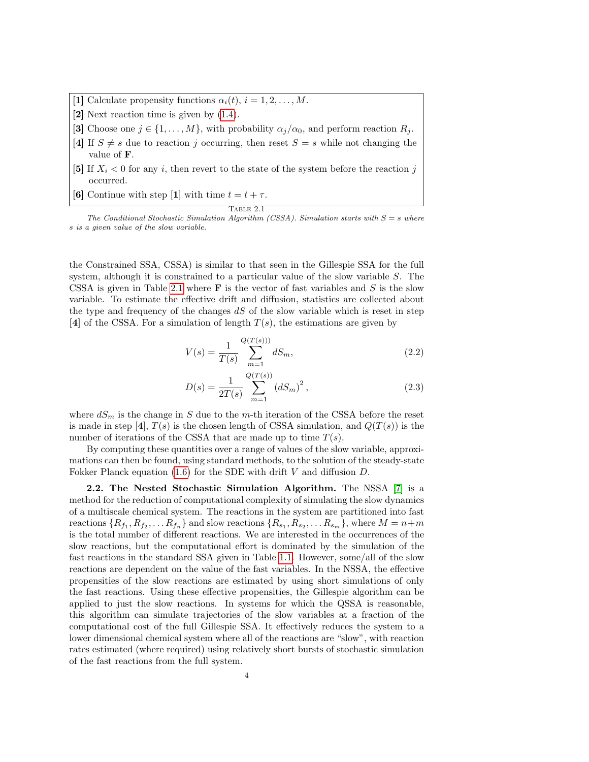- [1] Calculate propensity functions  $\alpha_i(t)$ ,  $i = 1, 2, \ldots, M$ .
- [2] Next reaction time is given by [\(1.4\)](#page-0-0).
- [3] Choose one  $j \in \{1, ..., M\}$ , with probability  $\alpha_j/\alpha_0$ , and perform reaction  $R_j$ .
- [4] If  $S \neq s$  due to reaction j occurring, then reset  $S = s$  while not changing the value of F.
- [5] If  $X_i < 0$  for any i, then revert to the state of the system before the reaction j occurred.
- [6] Continue with step [1] with time  $t = t + \tau$ .

## $T$ ABLE  $2.1$

The Conditional Stochastic Simulation Algorithm (CSSA). Simulation starts with  $S = s$  where s is a given value of the slow variable.

the Constrained SSA, CSSA) is similar to that seen in the Gillespie SSA for the full system, although it is constrained to a particular value of the slow variable S. The CSSA is given in Table [2.1](#page-1-0) where  $\bf{F}$  is the vector of fast variables and S is the slow variable. To estimate the effective drift and diffusion, statistics are collected about the type and frequency of the changes  $dS$  of the slow variable which is reset in step [4] of the CSSA. For a simulation of length  $T(s)$ , the estimations are given by

$$
V(s) = \frac{1}{T(s)} \sum_{m=1}^{Q(T(s)))} dS_m,
$$
\n(2.2)

$$
D(s) = \frac{1}{2T(s)} \sum_{m=1}^{Q(T(s))} (dS_m)^2,
$$
\n(2.3)

where  $dS_m$  is the change in S due to the m-th iteration of the CSSA before the reset is made in step [4],  $T(s)$  is the chosen length of CSSA simulation, and  $Q(T(s))$  is the number of iterations of the CSSA that are made up to time  $T(s)$ .

By computing these quantities over a range of values of the slow variable, approximations can then be found, using standard methods, to the solution of the steady-state Fokker Planck equation  $(1.6)$  for the SDE with drift V and diffusion D.

2.2. The Nested Stochastic Simulation Algorithm. The NSSA [\[7\]](#page-15-2) is a method for the reduction of computational complexity of simulating the slow dynamics of a multiscale chemical system. The reactions in the system are partitioned into fast reactions  $\{R_{f_1}, R_{f_2}, \ldots R_{f_n}\}\$  and slow reactions  $\{R_{s_1}, R_{s_2}, \ldots R_{s_m}\}\$ , where  $M = n+m$ is the total number of different reactions. We are interested in the occurrences of the slow reactions, but the computational effort is dominated by the simulation of the fast reactions in the standard SSA given in Table [1.1.](#page-1-0) However, some/all of the slow reactions are dependent on the value of the fast variables. In the NSSA, the effective propensities of the slow reactions are estimated by using short simulations of only the fast reactions. Using these effective propensities, the Gillespie algorithm can be applied to just the slow reactions. In systems for which the QSSA is reasonable, this algorithm can simulate trajectories of the slow variables at a fraction of the computational cost of the full Gillespie SSA. It effectively reduces the system to a lower dimensional chemical system where all of the reactions are "slow", with reaction rates estimated (where required) using relatively short bursts of stochastic simulation of the fast reactions from the full system.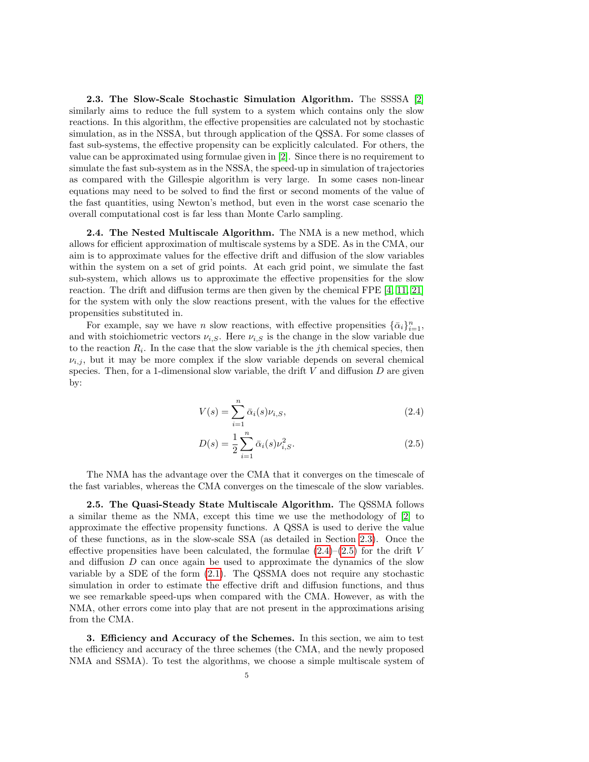<span id="page-4-3"></span>2.3. The Slow-Scale Stochastic Simulation Algorithm. The SSSSA [\[2\]](#page-15-3) similarly aims to reduce the full system to a system which contains only the slow reactions. In this algorithm, the effective propensities are calculated not by stochastic simulation, as in the NSSA, but through application of the QSSA. For some classes of fast sub-systems, the effective propensity can be explicitly calculated. For others, the value can be approximated using formulae given in [\[2\]](#page-15-3). Since there is no requirement to simulate the fast sub-system as in the NSSA, the speed-up in simulation of trajectories as compared with the Gillespie algorithm is very large. In some cases non-linear equations may need to be solved to find the first or second moments of the value of the fast quantities, using Newton's method, but even in the worst case scenario the overall computational cost is far less than Monte Carlo sampling.

<span id="page-4-0"></span>**2.4. The Nested Multiscale Algorithm.** The NMA is a new method, which allows for efficient approximation of multiscale systems by a SDE. As in the CMA, our aim is to approximate values for the effective drift and diffusion of the slow variables within the system on a set of grid points. At each grid point, we simulate the fast sub-system, which allows us to approximate the effective propensities for the slow reaction. The drift and diffusion terms are then given by the chemical FPE [\[4,](#page-15-8) [11,](#page-15-9) [21\]](#page-16-7) for the system with only the slow reactions present, with the values for the effective propensities substituted in.

For example, say we have n slow reactions, with effective propensities  $\{\bar{\alpha}_i\}_{i=1}^n$ , and with stoichiometric vectors  $\nu_{i,S}$ . Here  $\nu_{i,S}$  is the change in the slow variable due to the reaction  $R_i$ . In the case that the slow variable is the jth chemical species, then  $\nu_{i,j}$ , but it may be more complex if the slow variable depends on several chemical species. Then, for a 1-dimensional slow variable, the drift  $V$  and diffusion  $D$  are given by:

$$
V(s) = \sum_{i=1}^{n} \bar{\alpha}_i(s)\nu_{i,S},\tag{2.4}
$$

<span id="page-4-4"></span>
$$
D(s) = \frac{1}{2} \sum_{i=1}^{n} \bar{\alpha}_i(s) \nu_{i,S}^2.
$$
 (2.5)

The NMA has the advantage over the CMA that it converges on the timescale of the fast variables, whereas the CMA converges on the timescale of the slow variables.

<span id="page-4-1"></span>2.5. The Quasi-Steady State Multiscale Algorithm. The QSSMA follows a similar theme as the NMA, except this time we use the methodology of [\[2\]](#page-15-3) to approximate the effective propensity functions. A QSSA is used to derive the value of these functions, as in the slow-scale SSA (as detailed in Section [2.3\)](#page-4-3). Once the effective propensities have been calculated, the formulae  $(2.4)$ – $(2.5)$  for the drift V and diffusion D can once again be used to approximate the dynamics of the slow variable by a SDE of the form  $(2.1)$ . The QSSMA does not require any stochastic simulation in order to estimate the effective drift and diffusion functions, and thus we see remarkable speed-ups when compared with the CMA. However, as with the NMA, other errors come into play that are not present in the approximations arising from the CMA.

<span id="page-4-2"></span>3. Efficiency and Accuracy of the Schemes. In this section, we aim to test the efficiency and accuracy of the three schemes (the CMA, and the newly proposed NMA and SSMA). To test the algorithms, we choose a simple multiscale system of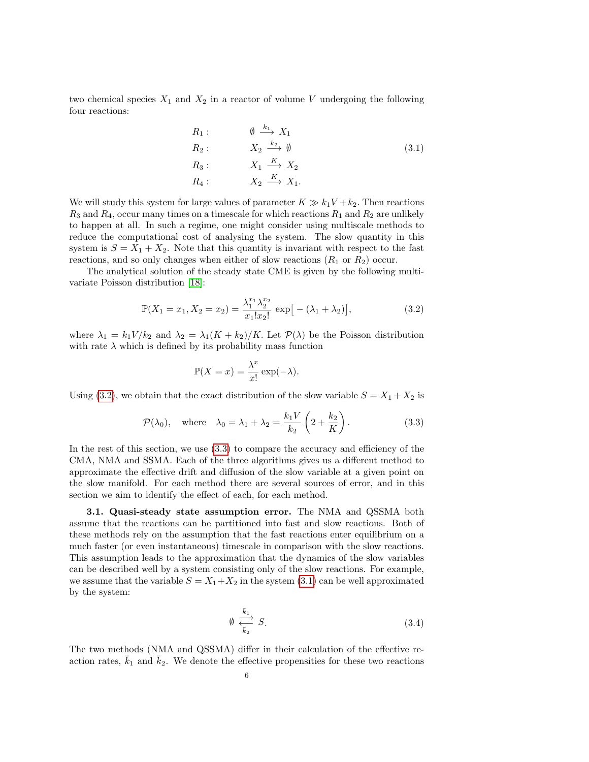two chemical species  $X_1$  and  $X_2$  in a reactor of volume V undergoing the following four reactions:

<span id="page-5-2"></span>
$$
R_1: \t\t\t\t\emptyset \xrightarrow{k_1} X_1
$$
  
\n
$$
R_2: \t\t\t\t X_2 \xrightarrow{k_2} \emptyset
$$
  
\n
$$
R_3: \t\t\t\t X_1 \xrightarrow{K} X_2
$$
  
\n
$$
R_4: \t\t\t\t X_2 \xrightarrow{K} X_1.
$$
  
\n(3.1)

We will study this system for large values of parameter  $K \gg k_1V + k_2$ . Then reactions  $R_3$  and  $R_4$ , occur many times on a timescale for which reactions  $R_1$  and  $R_2$  are unlikely to happen at all. In such a regime, one might consider using multiscale methods to reduce the computational cost of analysing the system. The slow quantity in this system is  $S = X_1 + X_2$ . Note that this quantity is invariant with respect to the fast reactions, and so only changes when either of slow reactions  $(R_1 \text{ or } R_2)$  occur.

The analytical solution of the steady state CME is given by the following multivariate Poisson distribution [\[18\]](#page-16-8):

<span id="page-5-0"></span>
$$
\mathbb{P}(X_1 = x_1, X_2 = x_2) = \frac{\lambda_1^{x_1} \lambda_2^{x_2}}{x_1! x_2!} \exp\big[-(\lambda_1 + \lambda_2)\big],\tag{3.2}
$$

where  $\lambda_1 = k_1 V / k_2$  and  $\lambda_2 = \lambda_1 (K + k_2) / K$ . Let  $\mathcal{P}(\lambda)$  be the Poisson distribution with rate  $\lambda$  which is defined by its probability mass function

$$
\mathbb{P}(X = x) = \frac{\lambda^x}{x!} \exp(-\lambda).
$$

Using [\(3.2\)](#page-5-0), we obtain that the exact distribution of the slow variable  $S = X_1 + X_2$  is

<span id="page-5-1"></span>
$$
\mathcal{P}(\lambda_0)
$$
, where  $\lambda_0 = \lambda_1 + \lambda_2 = \frac{k_1 V}{k_2} \left( 2 + \frac{k_2}{K} \right)$ . (3.3)

In the rest of this section, we use [\(3.3\)](#page-5-1) to compare the accuracy and efficiency of the CMA, NMA and SSMA. Each of the three algorithms gives us a different method to approximate the effective drift and diffusion of the slow variable at a given point on the slow manifold. For each method there are several sources of error, and in this section we aim to identify the effect of each, for each method.

<span id="page-5-4"></span>3.1. Quasi-steady state assumption error. The NMA and QSSMA both assume that the reactions can be partitioned into fast and slow reactions. Both of these methods rely on the assumption that the fast reactions enter equilibrium on a much faster (or even instantaneous) timescale in comparison with the slow reactions. This assumption leads to the approximation that the dynamics of the slow variables can be described well by a system consisting only of the slow reactions. For example, we assume that the variable  $S = X_1 + X_2$  in the system [\(3.1\)](#page-5-2) can be well approximated by the system:

<span id="page-5-3"></span>
$$
\emptyset \leftrightarrow{\overline{k}_1 \atop \overline{k}_2} S. \tag{3.4}
$$

The two methods (NMA and QSSMA) differ in their calculation of the effective reaction rates,  $\bar{k}_1$  and  $\bar{k}_2$ . We denote the effective propensities for these two reactions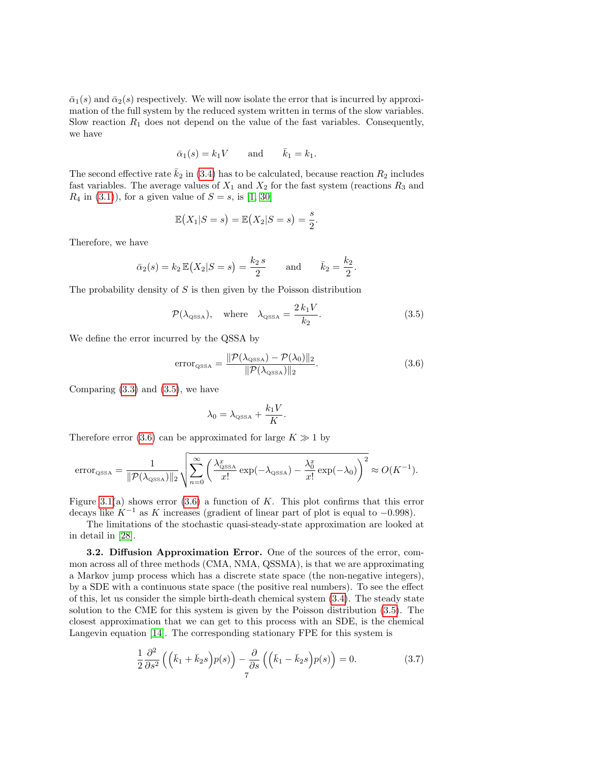$\bar{\alpha}_1(s)$  and  $\bar{\alpha}_2(s)$  respectively. We will now isolate the error that is incurred by approximation of the full system by the reduced system written in terms of the slow variables. Slow reaction  $R_1$  does not depend on the value of the fast variables. Consequently, we have

$$
\bar{\alpha}_1(s) = k_1 V \quad \text{and} \quad \bar{k}_1 = k_1.
$$

The second effective rate  $\bar{k}_2$  in [\(3.4\)](#page-5-3) has to be calculated, because reaction  $R_2$  includes fast variables. The average values of  $X_1$  and  $X_2$  for the fast system (reactions  $R_3$  and  $R_4$  in [\(3.1\)](#page-5-2)), for a given value of  $S = s$ , is [\[1,](#page-15-10) [30\]](#page-16-9)

$$
\mathbb{E}(X_1|S=s)=\mathbb{E}(X_2|S=s)=\frac{s}{2}.
$$

Therefore, we have

$$
\bar{\alpha}_2(s) = k_2 \mathbb{E}(X_2|S=s) = \frac{k_2 s}{2}
$$
 and  $\bar{k}_2 = \frac{k_2}{2}$ 

The probability density of  $S$  is then given by the Poisson distribution

<span id="page-6-0"></span>
$$
\mathcal{P}(\lambda_{\text{QSSA}}), \quad \text{where} \quad \lambda_{\text{QSSA}} = \frac{2 \, k_1 V}{k_2}.
$$
 (3.5)

.

We define the error incurred by the QSSA by

<span id="page-6-1"></span>
$$
error_{\text{QSSA}} = \frac{\|\mathcal{P}(\lambda_{\text{QSSA}}) - \mathcal{P}(\lambda_0)\|_2}{\|\mathcal{P}(\lambda_{\text{QSSA}})\|_2}.
$$
\n(3.6)

Comparing  $(3.3)$  and  $(3.5)$ , we have

$$
\lambda_0 = \lambda_{\text{QSSA}} + \frac{k_1 V}{K}.
$$

Therefore error [\(3.6\)](#page-6-1) can be approximated for large  $K \gg 1$  by

$$
\text{error}_{\text{QSSA}} = \frac{1}{\|\mathcal{P}(\lambda_{\text{QSSA}})\|_2} \sqrt{\sum_{n=0}^{\infty} \left(\frac{\lambda_{\text{QSSA}}^x}{x!} \exp(-\lambda_{\text{QSSA}}) - \frac{\lambda_0^x}{x!} \exp(-\lambda_0)\right)^2} \approx O(K^{-1}).
$$

Figure [3.1\(](#page-7-0)a) shows error  $(3.6)$  a function of K. This plot confirms that this error decays like  $K^{-1}$  as K increases (gradient of linear part of plot is equal to -0.998).

The limitations of the stochastic quasi-steady-state approximation are looked at in detail in [\[28\]](#page-16-10).

<span id="page-6-2"></span>3.2. Diffusion Approximation Error. One of the sources of the error, common across all of three methods (CMA, NMA, QSSMA), is that we are approximating a Markov jump process which has a discrete state space (the non-negative integers), by a SDE with a continuous state space (the positive real numbers). To see the effect of this, let us consider the simple birth-death chemical system [\(3.4\)](#page-5-3). The steady state solution to the CME for this system is given by the Poisson distribution [\(3.5\)](#page-6-0). The closest approximation that we can get to this process with an SDE, is the chemical Langevin equation [\[14\]](#page-16-11). The corresponding stationary FPE for this system is

$$
\frac{1}{2}\frac{\partial^2}{\partial s^2}\left(\left(\bar{k}_1+\bar{k}_2s\right)p(s)\right)-\frac{\partial}{\partial s}\left(\left(\bar{k}_1-\bar{k}_2s\right)p(s)\right)=0.\tag{3.7}
$$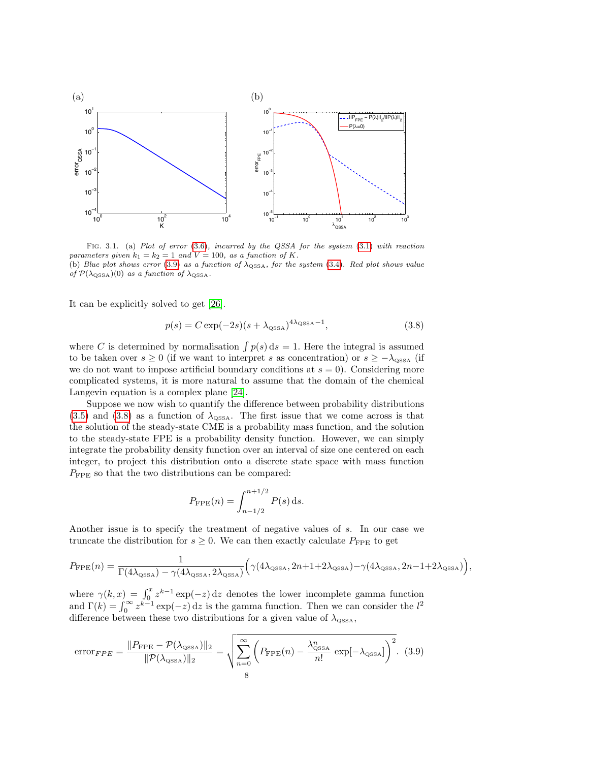

<span id="page-7-0"></span>FIG. 3.1. (a) Plot of error (3.[6\)](#page-6-1), incurred by the QSSA for the system [\(3.1\)](#page-5-2) with reaction parameters given  $k_1 = k_2 = 1$  and  $V = 100$ , as a function of K.

(b) Blue plot shows error [\(3](#page-5-3).9) as a function of  $\lambda_{\text{QSSA}}$ , for the system (3.4). Red plot shows value of  $\mathcal{P}(\lambda_{\text{QSSA}})(0)$  as a function of  $\lambda_{\text{QSSA}}$ .

It can be explicitly solved to get [\[26\]](#page-16-12).

<span id="page-7-2"></span>
$$
p(s) = C \exp(-2s)(s + \lambda_{\text{QSSA}})^{4\lambda_{\text{QSSA}}-1},
$$
\n(3.8)

where C is determined by normalisation  $\int p(s) ds = 1$ . Here the integral is assumed to be taken over  $s \geq 0$  (if we want to interpret s as concentration) or  $s \geq -\lambda_{\text{SSA}}$  (if we do not want to impose artificial boundary conditions at  $s = 0$ ). Considering more complicated systems, it is more natural to assume that the domain of the chemical Langevin equation is a complex plane [\[24\]](#page-16-13).

Suppose we now wish to quantify the difference between probability distributions  $(3.5)$  and  $(3.8)$  as a function of  $\lambda_{\text{OSSA}}$ . The first issue that we come across is that the solution of the steady-state CME is a probability mass function, and the solution to the steady-state FPE is a probability density function. However, we can simply integrate the probability density function over an interval of size one centered on each integer, to project this distribution onto a discrete state space with mass function  $P_{\text{FPE}}$  so that the two distributions can be compared:

$$
P_{\rm FPE}(n) = \int_{n-1/2}^{n+1/2} P(s) \, \mathrm{d}s.
$$

Another issue is to specify the treatment of negative values of s. In our case we truncate the distribution for  $s \geq 0$ . We can then exactly calculate  $P_{\text{FPE}}$  to get

$$
P_{\rm FPE}(n) = \frac{1}{\Gamma(4\lambda_{\rm QSSA}) - \gamma(4\lambda_{\rm QSSA}, 2\lambda_{\rm QSSA})} \Big(\gamma(4\lambda_{\rm QSSA}, 2n+1+2\lambda_{\rm QSSA}) - \gamma(4\lambda_{\rm QSSA}, 2n-1+2\lambda_{\rm QSSA})\Big),
$$

where  $\gamma(k, x) = \int_0^x z^{k-1} \exp(-z) dz$  denotes the lower incomplete gamma function and  $\Gamma(k) = \int_0^\infty z^{k-1} \exp(-z) dz$  is the gamma function. Then we can consider the  $l^2$ difference between these two distributions for a given value of  $\lambda_{\text{QSSA}}$ ,

<span id="page-7-1"></span>
$$
\text{error}_{FPE} = \frac{\|P_{\text{FPE}} - \mathcal{P}(\lambda_{\text{QSSA}})\|_2}{\|\mathcal{P}(\lambda_{\text{QSSA}})\|_2} = \sqrt{\sum_{n=0}^{\infty} \left(P_{\text{FPE}}(n) - \frac{\lambda_{\text{QSSA}}^n}{n!} \exp[-\lambda_{\text{QSSA}}]\right)^2}.
$$
 (3.9)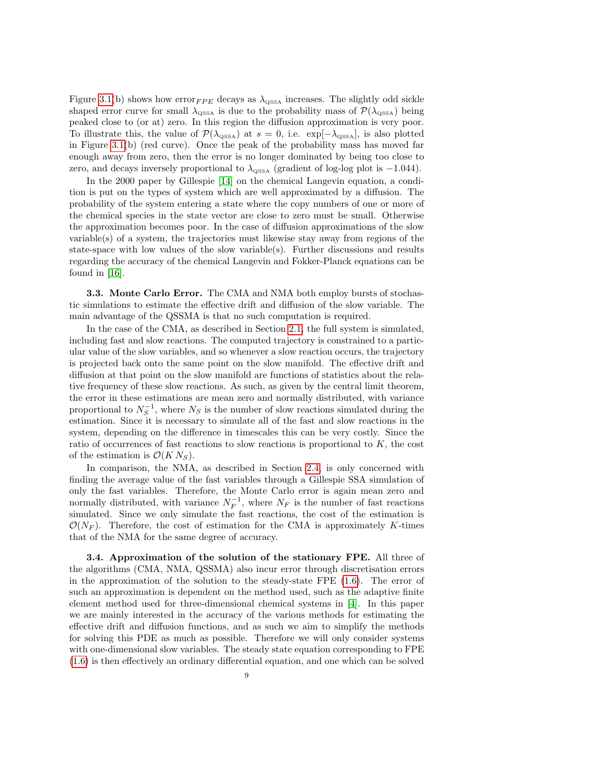Figure [3.1\(](#page-7-0)b) shows how error $_{FPE}$  decays as  $\lambda_{\text{QSSA}}$  increases. The slightly odd sickle shaped error curve for small  $\lambda_{\text{QSSA}}$  is due to the probability mass of  $\mathcal{P}(\lambda_{\text{QSSA}})$  being peaked close to (or at) zero. In this region the diffusion approximation is very poor. To illustrate this, the value of  $\mathcal{P}(\lambda_{\text{OSSA}})$  at  $s = 0$ , i.e.  $\exp[-\lambda_{\text{OSSA}}]$ , is also plotted in Figure [3.1\(](#page-7-0)b) (red curve). Once the peak of the probability mass has moved far enough away from zero, then the error is no longer dominated by being too close to zero, and decays inversely proportional to  $\lambda_{\text{QSSA}}$  (gradient of log-log plot is -1.044).

In the 2000 paper by Gillespie [\[14\]](#page-16-11) on the chemical Langevin equation, a condition is put on the types of system which are well approximated by a diffusion. The probability of the system entering a state where the copy numbers of one or more of the chemical species in the state vector are close to zero must be small. Otherwise the approximation becomes poor. In the case of diffusion approximations of the slow variable(s) of a system, the trajectories must likewise stay away from regions of the state-space with low values of the slow variable(s). Further discussions and results regarding the accuracy of the chemical Langevin and Fokker-Planck equations can be found in [\[16\]](#page-16-14).

**3.3. Monte Carlo Error.** The CMA and NMA both employ bursts of stochastic simulations to estimate the effective drift and diffusion of the slow variable. The main advantage of the QSSMA is that no such computation is required.

In the case of the CMA, as described in Section [2.1,](#page-2-2) the full system is simulated, including fast and slow reactions. The computed trajectory is constrained to a particular value of the slow variables, and so whenever a slow reaction occurs, the trajectory is projected back onto the same point on the slow manifold. The effective drift and diffusion at that point on the slow manifold are functions of statistics about the relative frequency of these slow reactions. As such, as given by the central limit theorem, the error in these estimations are mean zero and normally distributed, with variance proportional to  $N_S^{-1}$ , where  $N_S$  is the number of slow reactions simulated during the estimation. Since it is necessary to simulate all of the fast and slow reactions in the system, depending on the difference in timescales this can be very costly. Since the ratio of occurrences of fast reactions to slow reactions is proportional to  $K$ , the cost of the estimation is  $\mathcal{O}(KN_S)$ .

In comparison, the NMA, as described in Section [2.4,](#page-4-0) is only concerned with finding the average value of the fast variables through a Gillespie SSA simulation of only the fast variables. Therefore, the Monte Carlo error is again mean zero and normally distributed, with variance  $N_F^{-1}$ , where  $N_F$  is the number of fast reactions simulated. Since we only simulate the fast reactions, the cost of the estimation is  $\mathcal{O}(N_F)$ . Therefore, the cost of estimation for the CMA is approximately K-times that of the NMA for the same degree of accuracy.

3.4. Approximation of the solution of the stationary FPE. All three of the algorithms (CMA, NMA, QSSMA) also incur error through discretisation errors in the approximation of the solution to the steady-state  $\text{FPE } (1.6)$  $\text{FPE } (1.6)$ . The error of such an approximation is dependent on the method used, such as the adaptive finite element method used for three-dimensional chemical systems in [\[4\]](#page-15-8). In this paper we are mainly interested in the accuracy of the various methods for estimating the effective drift and diffusion functions, and as such we aim to simplify the methods for solving this PDE as much as possible. Therefore we will only consider systems with one-dimensional slow variables. The steady state equation corresponding to FPE [\(1.6\)](#page-2-3) is then effectively an ordinary differential equation, and one which can be solved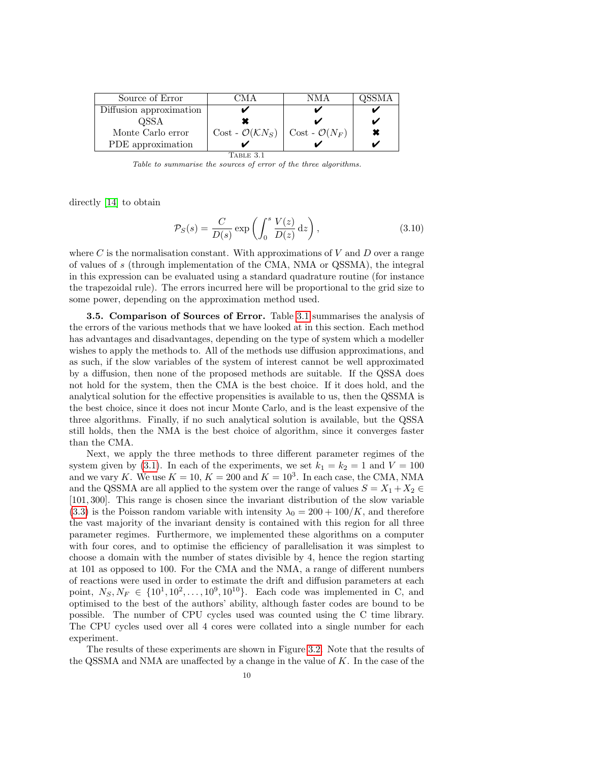| Source of Error         | AM A                                 | NMA                         |  |
|-------------------------|--------------------------------------|-----------------------------|--|
| Diffusion approximation |                                      |                             |  |
| OSSA                    |                                      |                             |  |
| Monte Carlo error       | $Cost - \mathcal{O}(\mathcal{K}N_S)$ | $Cost$ - $\mathcal{O}(N_F)$ |  |
| PDE approximation       |                                      |                             |  |
| FABLE 3.1               |                                      |                             |  |

Table to summarise the sources of error of the three algorithms.

directly [\[14\]](#page-16-11) to obtain

$$
\mathcal{P}_S(s) = \frac{C}{D(s)} \exp\left(\int_0^s \frac{V(z)}{D(z)} dz\right),\tag{3.10}
$$

where  $C$  is the normalisation constant. With approximations of  $V$  and  $D$  over a range of values of s (through implementation of the CMA, NMA or QSSMA), the integral in this expression can be evaluated using a standard quadrature routine (for instance the trapezoidal rule). The errors incurred here will be proportional to the grid size to some power, depending on the approximation method used.

3.5. Comparison of Sources of Error. Table [3.1](#page-1-0) summarises the analysis of the errors of the various methods that we have looked at in this section. Each method has advantages and disadvantages, depending on the type of system which a modeller wishes to apply the methods to. All of the methods use diffusion approximations, and as such, if the slow variables of the system of interest cannot be well approximated by a diffusion, then none of the proposed methods are suitable. If the QSSA does not hold for the system, then the CMA is the best choice. If it does hold, and the analytical solution for the effective propensities is available to us, then the QSSMA is the best choice, since it does not incur Monte Carlo, and is the least expensive of the three algorithms. Finally, if no such analytical solution is available, but the QSSA still holds, then the NMA is the best choice of algorithm, since it converges faster than the CMA.

Next, we apply the three methods to three different parameter regimes of the system given by [\(3.1\)](#page-5-2). In each of the experiments, we set  $k_1 = k_2 = 1$  and  $V = 100$ and we vary K. We use  $K = 10, K = 200$  and  $K = 10<sup>3</sup>$ . In each case, the CMA, NMA and the QSSMA are all applied to the system over the range of values  $S = X_1 + X_2 \in$ [101, 300]. This range is chosen since the invariant distribution of the slow variable  $(3.3)$  is the Poisson random variable with intensity  $\lambda_0 = 200 + 100/K$ , and therefore the vast majority of the invariant density is contained with this region for all three parameter regimes. Furthermore, we implemented these algorithms on a computer with four cores, and to optimise the efficiency of parallelisation it was simplest to choose a domain with the number of states divisible by 4, hence the region starting at 101 as opposed to 100. For the CMA and the NMA, a range of different numbers of reactions were used in order to estimate the drift and diffusion parameters at each point,  $N_S, N_F \in \{10^1, 10^2, ..., 10^9, 10^{10}\}$ . Each code was implemented in C, and optimised to the best of the authors' ability, although faster codes are bound to be possible. The number of CPU cycles used was counted using the C time library. The CPU cycles used over all 4 cores were collated into a single number for each experiment.

The results of these experiments are shown in Figure [3.2.](#page-10-0) Note that the results of the QSSMA and NMA are unaffected by a change in the value of  $K$ . In the case of the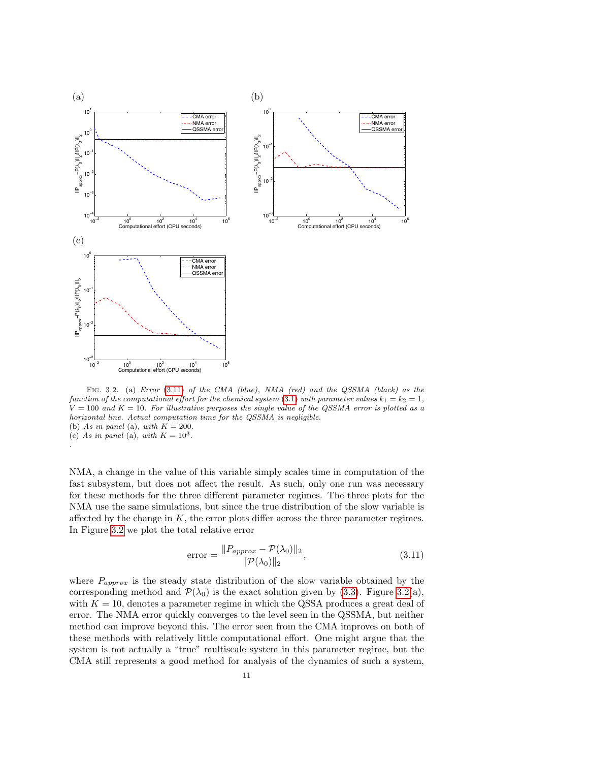

<span id="page-10-0"></span>Fig. 3.2. (a) Error (3.[11\)](#page-10-1) of the CMA (blue), NMA (red) and the QSSMA (black) as the function of the computational effort for the chemical system (3.[1\)](#page-5-2) with parameter values  $k_1 = k_2 = 1$ ,  $V = 100$  and  $K = 10$ . For illustrative purposes the single value of the QSSMA error is plotted as a horizontal line. Actual computation time for the QSSMA is negligible. (b) As in panel (a), with  $K = 200$ . (c) As in panel (a), with  $K = 10^3$ . .

NMA, a change in the value of this variable simply scales time in computation of the fast subsystem, but does not affect the result. As such, only one run was necessary for these methods for the three different parameter regimes. The three plots for the NMA use the same simulations, but since the true distribution of the slow variable is affected by the change in  $K$ , the error plots differ across the three parameter regimes. In Figure [3.2](#page-10-0) we plot the total relative error

<span id="page-10-1"></span>error = 
$$
\frac{\|P_{approx} - \mathcal{P}(\lambda_0)\|_2}{\|\mathcal{P}(\lambda_0)\|_2},
$$
\n(3.11)

where  $P_{approx}$  is the steady state distribution of the slow variable obtained by the corresponding method and  $\mathcal{P}(\lambda_0)$  is the exact solution given by [\(3.3\)](#page-5-1). Figure [3.2\(](#page-10-0)a), with  $K = 10$ , denotes a parameter regime in which the QSSA produces a great deal of error. The NMA error quickly converges to the level seen in the QSSMA, but neither method can improve beyond this. The error seen from the CMA improves on both of these methods with relatively little computational effort. One might argue that the system is not actually a "true" multiscale system in this parameter regime, but the CMA still represents a good method for analysis of the dynamics of such a system,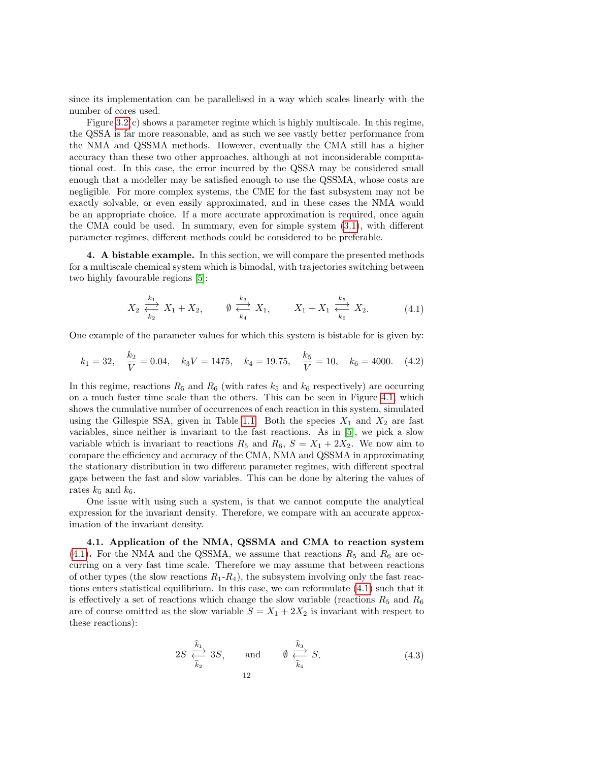since its implementation can be parallelised in a way which scales linearly with the number of cores used.

Figure [3.2\(](#page-10-0)c) shows a parameter regime which is highly multiscale. In this regime, the QSSA is far more reasonable, and as such we see vastly better performance from the NMA and QSSMA methods. However, eventually the CMA still has a higher accuracy than these two other approaches, although at not inconsiderable computational cost. In this case, the error incurred by the QSSA may be considered small enough that a modeller may be satisfied enough to use the QSSMA, whose costs are negligible. For more complex systems, the CME for the fast subsystem may not be exactly solvable, or even easily approximated, and in these cases the NMA would be an appropriate choice. If a more accurate approximation is required, once again the CMA could be used. In summary, even for simple system [\(3.1\)](#page-5-2), with different parameter regimes, different methods could be considered to be preferable.

<span id="page-11-0"></span>4. A bistable example. In this section, we will compare the presented methods for a multiscale chemical system which is bimodal, with trajectories switching between two highly favourable regions [\[5\]](#page-15-1):

<span id="page-11-1"></span>
$$
X_2 \xleftrightarrow{k_1 \atop k_2} X_1 + X_2, \qquad \emptyset \xleftrightarrow{k_3 \atop k_4} X_1, \qquad X_1 + X_1 \xleftrightarrow{k_5 \atop k_6} X_2.
$$
 (4.1)

One example of the parameter values for which this system is bistable for is given by:

<span id="page-11-2"></span>
$$
k_1 = 32
$$
,  $\frac{k_2}{V} = 0.04$ ,  $k_3 V = 1475$ ,  $k_4 = 19.75$ ,  $\frac{k_5}{V} = 10$ ,  $k_6 = 4000$ . (4.2)

In this regime, reactions  $R_5$  and  $R_6$  (with rates  $k_5$  and  $k_6$  respectively) are occurring on a much faster time scale than the others. This can be seen in Figure [4.1,](#page-7-0) which shows the cumulative number of occurrences of each reaction in this system, simulated using the Gillespie SSA, given in Table [1.1.](#page-1-0) Both the species  $X_1$  and  $X_2$  are fast variables, since neither is invariant to the fast reactions. As in [\[5\]](#page-15-1), we pick a slow variable which is invariant to reactions  $R_5$  and  $R_6$ ,  $S = X_1 + 2X_2$ . We now aim to compare the efficiency and accuracy of the CMA, NMA and QSSMA in approximating the stationary distribution in two different parameter regimes, with different spectral gaps between the fast and slow variables. This can be done by altering the values of rates  $k_5$  and  $k_6$ .

One issue with using such a system, is that we cannot compute the analytical expression for the invariant density. Therefore, we compare with an accurate approximation of the invariant density.

<span id="page-11-4"></span>4.1. Application of the NMA, QSSMA and CMA to reaction system [\(4.1\)](#page-11-1). For the NMA and the QSSMA, we assume that reactions  $R_5$  and  $R_6$  are occurring on a very fast time scale. Therefore we may assume that between reactions of other types (the slow reactions  $R_1 - R_4$ ), the subsystem involving only the fast reactions enters statistical equilibrium. In this case, we can reformulate [\(4.1\)](#page-11-1) such that it is effectively a set of reactions which change the slow variable (reactions  $R_5$  and  $R_6$ are of course omitted as the slow variable  $S = X_1 + 2X_2$  is invariant with respect to these reactions):

<span id="page-11-3"></span>
$$
2S \stackrel{\widehat{k}_1}{\underset{\widehat{k}_2}{\longleftrightarrow}} 3S, \quad \text{and} \quad \emptyset \stackrel{\widehat{k}_3}{\underset{\widehat{k}_4}{\longleftrightarrow}} S. \tag{4.3}
$$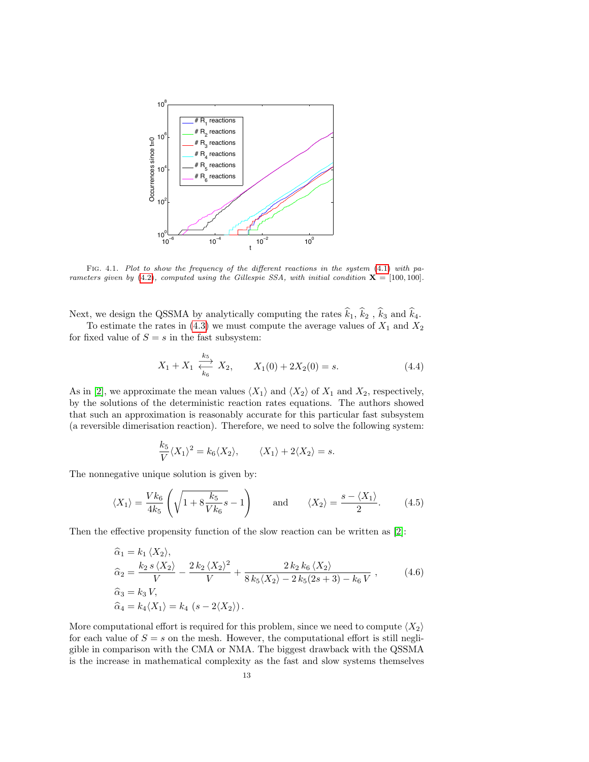

FIG. 4.1. Plot to show the frequency of the different reactions in the system [\(4.1\)](#page-11-1) with pa-rameters given by [\(4.2\)](#page-11-2), computed using the Gillespie SSA, with initial condition  $X = [100, 100]$ .

Next, we design the QSSMA by analytically computing the rates  $\hat{k}_1$ ,  $\hat{k}_2$ ,  $\hat{k}_3$  and  $\hat{k}_4$ .

To estimate the rates in  $(4.3)$  we must compute the average values of  $X_1$  and  $X_2$ for fixed value of  $S = s$  in the fast subsystem:

<span id="page-12-0"></span>
$$
X_1 + X_1 \xleftrightarrow[k_6]{k_5} X_2, \qquad X_1(0) + 2X_2(0) = s. \tag{4.4}
$$

As in [\[2\]](#page-15-3), we approximate the mean values  $\langle X_1 \rangle$  and  $\langle X_2 \rangle$  of  $X_1$  and  $X_2$ , respectively, by the solutions of the deterministic reaction rates equations. The authors showed that such an approximation is reasonably accurate for this particular fast subsystem (a reversible dimerisation reaction). Therefore, we need to solve the following system:

$$
\frac{k_5}{V}\langle X_1\rangle^2 = k_6\langle X_2\rangle, \qquad \langle X_1\rangle + 2\langle X_2\rangle = s.
$$

The nonnegative unique solution is given by:

$$
\langle X_1 \rangle = \frac{Vk_6}{4k_5} \left( \sqrt{1 + 8\frac{k_5}{Vk_6}s} - 1 \right) \quad \text{and} \quad \langle X_2 \rangle = \frac{s - \langle X_1 \rangle}{2}.
$$
 (4.5)

Then the effective propensity function of the slow reaction can be written as [\[2\]](#page-15-3):

<span id="page-12-1"></span>
$$
\begin{aligned}\n\widehat{\alpha}_1 &= k_1 \langle X_2 \rangle, \\
\widehat{\alpha}_2 &= \frac{k_2 \, s \, \langle X_2 \rangle}{V} - \frac{2 \, k_2 \, \langle X_2 \rangle^2}{V} + \frac{2 \, k_2 \, k_6 \, \langle X_2 \rangle}{8 \, k_5 \langle X_2 \rangle - 2 \, k_5 \langle 2s + 3 \rangle - k_6 \, V}, \\
\widehat{\alpha}_3 &= k_3 \, V, \\
\widehat{\alpha}_4 &= k_4 \langle X_1 \rangle = k_4 \, \left( s - 2 \langle X_2 \rangle \right).\n\end{aligned} \tag{4.6}
$$

More computational effort is required for this problem, since we need to compute  $\langle X_2 \rangle$ for each value of  $S = s$  on the mesh. However, the computational effort is still negligible in comparison with the CMA or NMA. The biggest drawback with the QSSMA is the increase in mathematical complexity as the fast and slow systems themselves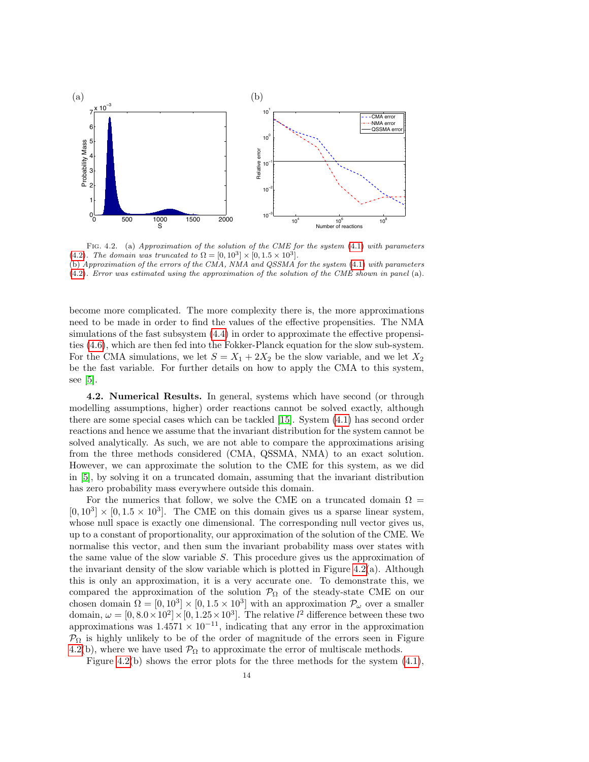

FIG. 4.2. (a) Approximation of the solution of the CME for the system [\(4.1\)](#page-11-1) with parameters [\(4.2\)](#page-11-2). The domain was truncated to  $\Omega = [0, 10^3] \times [0, 1.5 \times 10^3]$ .

(b) Approximation of the errors of the CMA, NMA and QSSMA for the system [\(4.1\)](#page-11-1) with parameters [\(4.2\)](#page-11-2). Error was estimated using the approximation of the solution of the CME shown in panel (a).

become more complicated. The more complexity there is, the more approximations need to be made in order to find the values of the effective propensities. The NMA simulations of the fast subsystem [\(4.4\)](#page-12-0) in order to approximate the effective propensities [\(4.6\)](#page-12-1), which are then fed into the Fokker-Planck equation for the slow sub-system. For the CMA simulations, we let  $S = X_1 + 2X_2$  be the slow variable, and we let  $X_2$ be the fast variable. For further details on how to apply the CMA to this system, see  $[5]$ .

4.2. Numerical Results. In general, systems which have second (or through modelling assumptions, higher) order reactions cannot be solved exactly, although there are some special cases which can be tackled [\[15\]](#page-16-15). System [\(4.1\)](#page-11-1) has second order reactions and hence we assume that the invariant distribution for the system cannot be solved analytically. As such, we are not able to compare the approximations arising from the three methods considered (CMA, QSSMA, NMA) to an exact solution. However, we can approximate the solution to the CME for this system, as we did in [\[5\]](#page-15-1), by solving it on a truncated domain, assuming that the invariant distribution has zero probability mass everywhere outside this domain.

For the numerics that follow, we solve the CME on a truncated domain  $\Omega =$  $[0, 10^3] \times [0, 1.5 \times 10^3]$ . The CME on this domain gives us a sparse linear system, whose null space is exactly one dimensional. The corresponding null vector gives us, up to a constant of proportionality, our approximation of the solution of the CME. We normalise this vector, and then sum the invariant probability mass over states with the same value of the slow variable S. This procedure gives us the approximation of the invariant density of the slow variable which is plotted in Figure  $4.2(a)$ . Although this is only an approximation, it is a very accurate one. To demonstrate this, we compared the approximation of the solution  $\mathcal{P}_{\Omega}$  of the steady-state CME on our chosen domain  $\Omega = [0, 10^3] \times [0, 1.5 \times 10^3]$  with an approximation  $\mathcal{P}_{\omega}$  over a smaller domain,  $\omega = [0, 8.0 \times 10^2] \times [0, 1.25 \times 10^3]$ . The relative  $l^2$  difference between these two approximations was  $1.4571 \times 10^{-11}$ , indicating that any error in the approximation  $P_{\Omega}$  is highly unlikely to be of the order of magnitude of the errors seen in Figure [4.2\(](#page-10-0)b), where we have used  $\mathcal{P}_{\Omega}$  to approximate the error of multiscale methods.

Figure [4.2\(](#page-10-0)b) shows the error plots for the three methods for the system  $(4.1)$ ,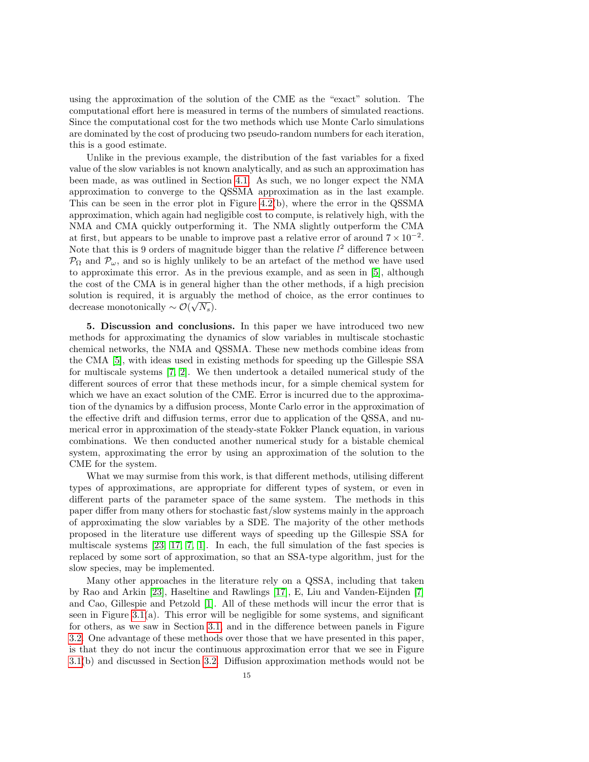using the approximation of the solution of the CME as the "exact" solution. The computational effort here is measured in terms of the numbers of simulated reactions. Since the computational cost for the two methods which use Monte Carlo simulations are dominated by the cost of producing two pseudo-random numbers for each iteration, this is a good estimate.

Unlike in the previous example, the distribution of the fast variables for a fixed value of the slow variables is not known analytically, and as such an approximation has been made, as was outlined in Section [4.1.](#page-11-4) As such, we no longer expect the NMA approximation to converge to the QSSMA approximation as in the last example. This can be seen in the error plot in Figure [4.2\(](#page-10-0)b), where the error in the QSSMA approximation, which again had negligible cost to compute, is relatively high, with the NMA and CMA quickly outperforming it. The NMA slightly outperform the CMA at first, but appears to be unable to improve past a relative error of around  $7 \times 10^{-2}$ . Note that this is 9 orders of magnitude bigger than the relative  $l^2$  difference between  $\mathcal{P}_{\Omega}$  and  $\mathcal{P}_{\omega}$ , and so is highly unlikely to be an artefact of the method we have used to approximate this error. As in the previous example, and as seen in [\[5\]](#page-15-1), although the cost of the CMA is in general higher than the other methods, if a high precision solution is required, it is arguably the method of choice, as the error continues to decrease monotonically  $\sim \mathcal{O}(\sqrt{N_s}).$ 

<span id="page-14-0"></span>5. Discussion and conclusions. In this paper we have introduced two new methods for approximating the dynamics of slow variables in multiscale stochastic chemical networks, the NMA and QSSMA. These new methods combine ideas from the CMA [\[5\]](#page-15-1), with ideas used in existing methods for speeding up the Gillespie SSA for multiscale systems [\[7,](#page-15-2) [2\]](#page-15-3). We then undertook a detailed numerical study of the different sources of error that these methods incur, for a simple chemical system for which we have an exact solution of the CME. Error is incurred due to the approximation of the dynamics by a diffusion process, Monte Carlo error in the approximation of the effective drift and diffusion terms, error due to application of the QSSA, and numerical error in approximation of the steady-state Fokker Planck equation, in various combinations. We then conducted another numerical study for a bistable chemical system, approximating the error by using an approximation of the solution to the CME for the system.

What we may surmise from this work, is that different methods, utilising different types of approximations, are appropriate for different types of system, or even in different parts of the parameter space of the same system. The methods in this paper differ from many others for stochastic fast/slow systems mainly in the approach of approximating the slow variables by a SDE. The majority of the other methods proposed in the literature use different ways of speeding up the Gillespie SSA for multiscale systems  $[23, 17, 7, 1]$  $[23, 17, 7, 1]$  $[23, 17, 7, 1]$  $[23, 17, 7, 1]$ . In each, the full simulation of the fast species is replaced by some sort of approximation, so that an SSA-type algorithm, just for the slow species, may be implemented.

Many other approaches in the literature rely on a QSSA, including that taken by Rao and Arkin [\[23\]](#page-16-4), Haseltine and Rawlings [\[17\]](#page-16-2), E, Liu and Vanden-Eijnden [\[7\]](#page-15-2) and Cao, Gillespie and Petzold [\[1\]](#page-15-10). All of these methods will incur the error that is seen in Figure  $3.1(a)$ . This error will be negligible for some systems, and significant for others, as we saw in Section [3.1,](#page-5-4) and in the difference between panels in Figure [3.2.](#page-10-0) One advantage of these methods over those that we have presented in this paper, is that they do not incur the continuous approximation error that we see in Figure [3.1\(](#page-7-0)b) and discussed in Section [3.2.](#page-6-2) Diffusion approximation methods would not be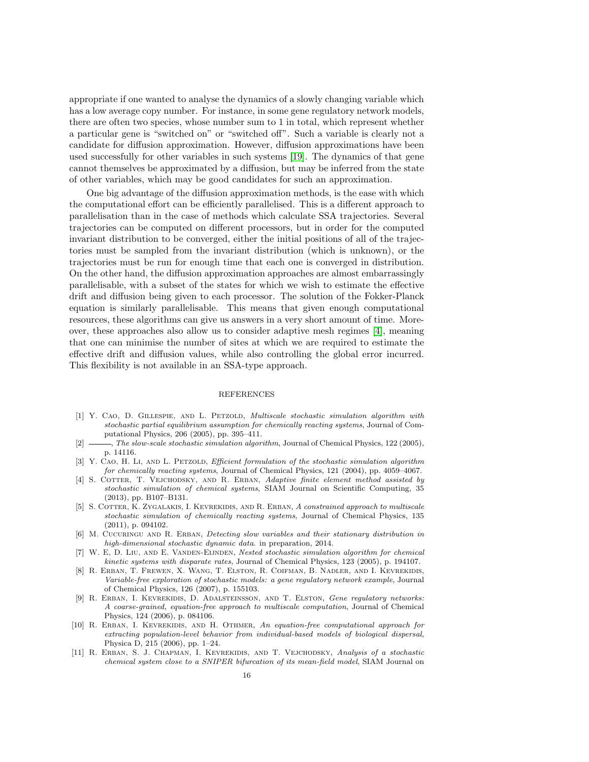appropriate if one wanted to analyse the dynamics of a slowly changing variable which has a low average copy number. For instance, in some gene regulatory network models, there are often two species, whose number sum to 1 in total, which represent whether a particular gene is "switched on" or "switched off". Such a variable is clearly not a candidate for diffusion approximation. However, diffusion approximations have been used successfully for other variables in such systems [\[19\]](#page-16-16). The dynamics of that gene cannot themselves be approximated by a diffusion, but may be inferred from the state of other variables, which may be good candidates for such an approximation.

One big advantage of the diffusion approximation methods, is the ease with which the computational effort can be efficiently parallelised. This is a different approach to parallelisation than in the case of methods which calculate SSA trajectories. Several trajectories can be computed on different processors, but in order for the computed invariant distribution to be converged, either the initial positions of all of the trajectories must be sampled from the invariant distribution (which is unknown), or the trajectories must be run for enough time that each one is converged in distribution. On the other hand, the diffusion approximation approaches are almost embarrassingly parallelisable, with a subset of the states for which we wish to estimate the effective drift and diffusion being given to each processor. The solution of the Fokker-Planck equation is similarly parallelisable. This means that given enough computational resources, these algorithms can give us answers in a very short amount of time. Moreover, these approaches also allow us to consider adaptive mesh regimes [\[4\]](#page-15-8), meaning that one can minimise the number of sites at which we are required to estimate the effective drift and diffusion values, while also controlling the global error incurred. This flexibility is not available in an SSA-type approach.

## REFERENCES

- <span id="page-15-10"></span>[1] Y. Cao, D. Gillespie, and L. Petzold, Multiscale stochastic simulation algorithm with stochastic partial equilibrium assumption for chemically reacting systems, Journal of Computational Physics, 206 (2005), pp. 395–411.
- <span id="page-15-3"></span> $\rightarrow$ , The slow-scale stochastic simulation algorithm, Journal of Chemical Physics, 122 (2005), p. 14116.
- <span id="page-15-0"></span>[3] Y. CAO, H. LI, AND L. PETZOLD, Efficient formulation of the stochastic simulation algorithm for chemically reacting systems, Journal of Chemical Physics, 121 (2004), pp. 4059–4067.
- <span id="page-15-8"></span>[4] S. COTTER, T. VEJCHODSKY, AND R. ERBAN, Adaptive finite element method assisted by stochastic simulation of chemical systems, SIAM Journal on Scientific Computing, 35 (2013), pp. B107–B131.
- <span id="page-15-1"></span>[5] S. COTTER, K. ZYGALAKIS, I. KEVREKIDIS, AND R. ERBAN, A constrained approach to multiscale stochastic simulation of chemically reacting systems, Journal of Chemical Physics, 135 (2011), p. 094102.
- <span id="page-15-6"></span>[6] M. CUCURINGU AND R. ERBAN, Detecting slow variables and their stationary distribution in high-dimensional stochastic dynamic data. in preparation, 2014.
- <span id="page-15-2"></span>[7] W. E, D. LIU, AND E. VANDEN-ELINDEN, Nested stochastic simulation algorithm for chemical kinetic systems with disparate rates, Journal of Chemical Physics, 123 (2005), p. 194107.
- <span id="page-15-5"></span>[8] R. Erban, T. Frewen, X. Wang, T. Elston, R. Coifman, B. Nadler, and I. Kevrekidis, Variable-free exploration of stochastic models: a gene regulatory network example, Journal of Chemical Physics, 126 (2007), p. 155103.
- <span id="page-15-7"></span>[9] R. ERBAN, I. KEVREKIDIS, D. ADALSTEINSSON, AND T. ELSTON, Gene regulatory networks: A coarse-grained, equation-free approach to multiscale computation, Journal of Chemical Physics, 124 (2006), p. 084106.
- <span id="page-15-4"></span>[10] R. ERBAN, I. KEVREKIDIS, AND H. OTHMER, An equation-free computational approach for extracting population-level behavior from individual-based models of biological dispersal, Physica D, 215 (2006), pp. 1–24.
- <span id="page-15-9"></span>[11] R. Erban, S. J. Chapman, I. Kevrekidis, and T. Vejchodsky, Analysis of a stochastic chemical system close to a SNIPER bifurcation of its mean-field model, SIAM Journal on